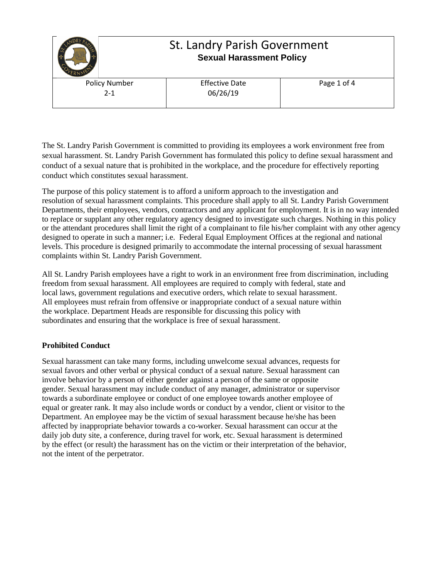

The St. Landry Parish Government is committed to providing its employees a work environment free from sexual harassment. St. Landry Parish Government has formulated this policy to define sexual harassment and conduct of a sexual nature that is prohibited in the workplace, and the procedure for effectively reporting conduct which constitutes sexual harassment.

The purpose of this policy statement is to afford a uniform approach to the investigation and resolution of sexual harassment complaints. This procedure shall apply to all St. Landry Parish Government Departments, their employees, vendors, contractors and any applicant for employment. It is in no way intended to replace or supplant any other regulatory agency designed to investigate such charges. Nothing in this policy or the attendant procedures shall limit the right of a complainant to file his/her complaint with any other agency designed to operate in such a manner; i.e. Federal Equal Employment Offices at the regional and national levels. This procedure is designed primarily to accommodate the internal processing of sexual harassment complaints within St. Landry Parish Government.

All St. Landry Parish employees have a right to work in an environment free from discrimination, including freedom from sexual harassment. All employees are required to comply with federal, state and local laws, government regulations and executive orders, which relate to sexual harassment. All employees must refrain from offensive or inappropriate conduct of a sexual nature within the workplace. Department Heads are responsible for discussing this policy with subordinates and ensuring that the workplace is free of sexual harassment.

## **Prohibited Conduct**

Sexual harassment can take many forms, including unwelcome sexual advances, requests for sexual favors and other verbal or physical conduct of a sexual nature. Sexual harassment can involve behavior by a person of either gender against a person of the same or opposite gender. Sexual harassment may include conduct of any manager, administrator or supervisor towards a subordinate employee or conduct of one employee towards another employee of equal or greater rank. It may also include words or conduct by a vendor, client or visitor to the Department. An employee may be the victim of sexual harassment because he/she has been affected by inappropriate behavior towards a co-worker. Sexual harassment can occur at the daily job duty site, a conference, during travel for work, etc. Sexual harassment is determined by the effect (or result) the harassment has on the victim or their interpretation of the behavior, not the intent of the perpetrator.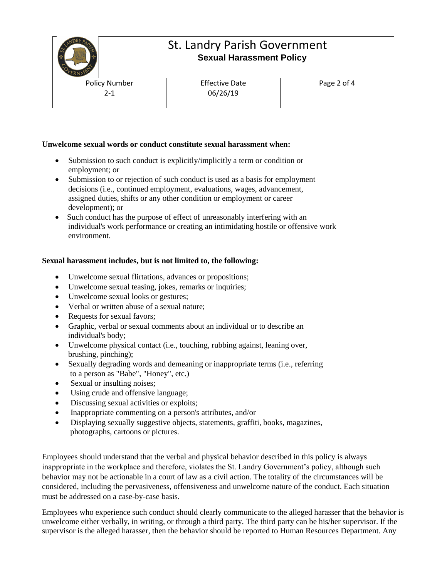

# St. Landry Parish Government  **Sexual Harassment Policy**

Policy Number 2-1

Effective Date 06/26/19

### **Unwelcome sexual words or conduct constitute sexual harassment when:**

- Submission to such conduct is explicitly/implicitly a term or condition or employment; or
- Submission to or rejection of such conduct is used as a basis for employment decisions (i.e., continued employment, evaluations, wages, advancement, assigned duties, shifts or any other condition or employment or career development); or
- Such conduct has the purpose of effect of unreasonably interfering with an individual's work performance or creating an intimidating hostile or offensive work environment.

#### **Sexual harassment includes, but is not limited to, the following:**

- Unwelcome sexual flirtations, advances or propositions;
- Unwelcome sexual teasing, jokes, remarks or inquiries;
- Unwelcome sexual looks or gestures;
- Verbal or written abuse of a sexual nature;
- Requests for sexual favors;
- Graphic, verbal or sexual comments about an individual or to describe an individual's body;
- Unwelcome physical contact (i.e., touching, rubbing against, leaning over, brushing, pinching);
- Sexually degrading words and demeaning or inappropriate terms (i.e., referring to a person as "Babe", "Honey", etc.)
- Sexual or insulting noises;
- Using crude and offensive language;
- Discussing sexual activities or exploits;
- Inappropriate commenting on a person's attributes, and/or
- Displaying sexually suggestive objects, statements, graffiti, books, magazines, photographs, cartoons or pictures.

Employees should understand that the verbal and physical behavior described in this policy is always inappropriate in the workplace and therefore, violates the St. Landry Government's policy, although such behavior may not be actionable in a court of law as a civil action. The totality of the circumstances will be considered, including the pervasiveness, offensiveness and unwelcome nature of the conduct. Each situation must be addressed on a case-by-case basis.

Employees who experience such conduct should clearly communicate to the alleged harasser that the behavior is unwelcome either verbally, in writing, or through a third party. The third party can be his/her supervisor. If the supervisor is the alleged harasser, then the behavior should be reported to Human Resources Department. Any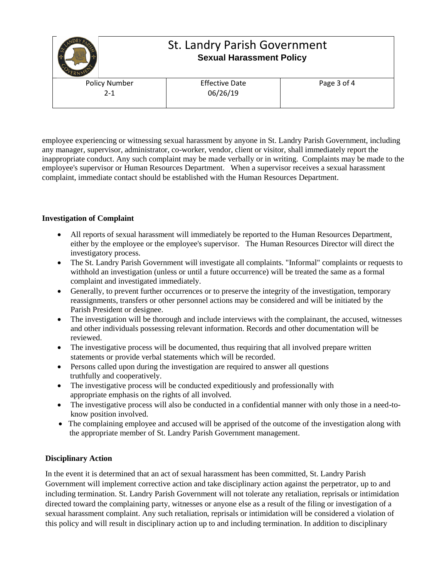

employee experiencing or witnessing sexual harassment by anyone in St. Landry Parish Government, including any manager, supervisor, administrator, co-worker, vendor, client or visitor, shall immediately report the inappropriate conduct. Any such complaint may be made verbally or in writing. Complaints may be made to the employee's supervisor or Human Resources Department. When a supervisor receives a sexual harassment complaint, immediate contact should be established with the Human Resources Department.

## **Investigation of Complaint**

- All reports of sexual harassment will immediately be reported to the Human Resources Department, either by the employee or the employee's supervisor. The Human Resources Director will direct the investigatory process.
- The St. Landry Parish Government will investigate all complaints. "Informal" complaints or requests to withhold an investigation (unless or until a future occurrence) will be treated the same as a formal complaint and investigated immediately.
- Generally, to prevent further occurrences or to preserve the integrity of the investigation, temporary reassignments, transfers or other personnel actions may be considered and will be initiated by the Parish President or designee.
- The investigation will be thorough and include interviews with the complainant, the accused, witnesses and other individuals possessing relevant information. Records and other documentation will be reviewed.
- The investigative process will be documented, thus requiring that all involved prepare written statements or provide verbal statements which will be recorded.
- Persons called upon during the investigation are required to answer all questions truthfully and cooperatively.
- The investigative process will be conducted expeditiously and professionally with appropriate emphasis on the rights of all involved.
- The investigative process will also be conducted in a confidential manner with only those in a need-toknow position involved.
- The complaining employee and accused will be apprised of the outcome of the investigation along with the appropriate member of St. Landry Parish Government management.

## **Disciplinary Action**

In the event it is determined that an act of sexual harassment has been committed, St. Landry Parish Government will implement corrective action and take disciplinary action against the perpetrator, up to and including termination. St. Landry Parish Government will not tolerate any retaliation, reprisals or intimidation directed toward the complaining party, witnesses or anyone else as a result of the filing or investigation of a sexual harassment complaint. Any such retaliation, reprisals or intimidation will be considered a violation of this policy and will result in disciplinary action up to and including termination. In addition to disciplinary